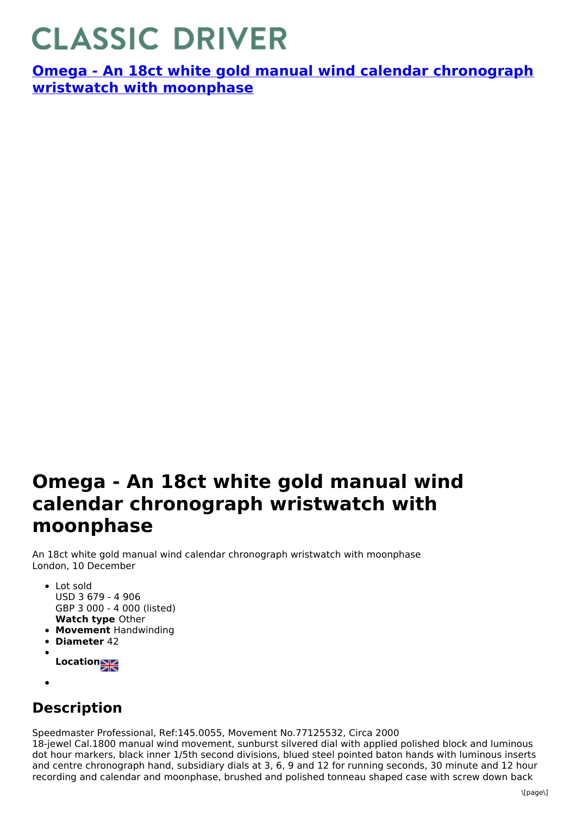## **CLASSIC DRIVER**

**Omega - An 18ct white gold manual wind calendar [chronograph](https://www.classicdriver.com/en/watch/omega/269322) wristwatch with moonphase**

## **Omega - An 18ct white gold manual wind calendar chronograph wristwatch with moonphase**

An 18ct white gold manual wind calendar chronograph wristwatch with moonphase London, 10 December

- **Watch type** Other Lot sold USD 3 679 - 4 906 GBP 3 000 - 4 000 (listed)
- **Movement** Handwinding
- **Diameter** 42
- **Location**
- 

## **Description**

Speedmaster Professional, Ref:145.0055, Movement No.77125532, Circa 2000 18-jewel Cal.1800 manual wind movement, sunburst silvered dial with applied polished block and luminous dot hour markers, black inner 1/5th second divisions, blued steel pointed baton hands with luminous inserts and centre chronograph hand, subsidiary dials at 3, 6, 9 and 12 for running seconds, 30 minute and 12 hour recording and calendar and moonphase, brushed and polished tonneau shaped case with screw down back